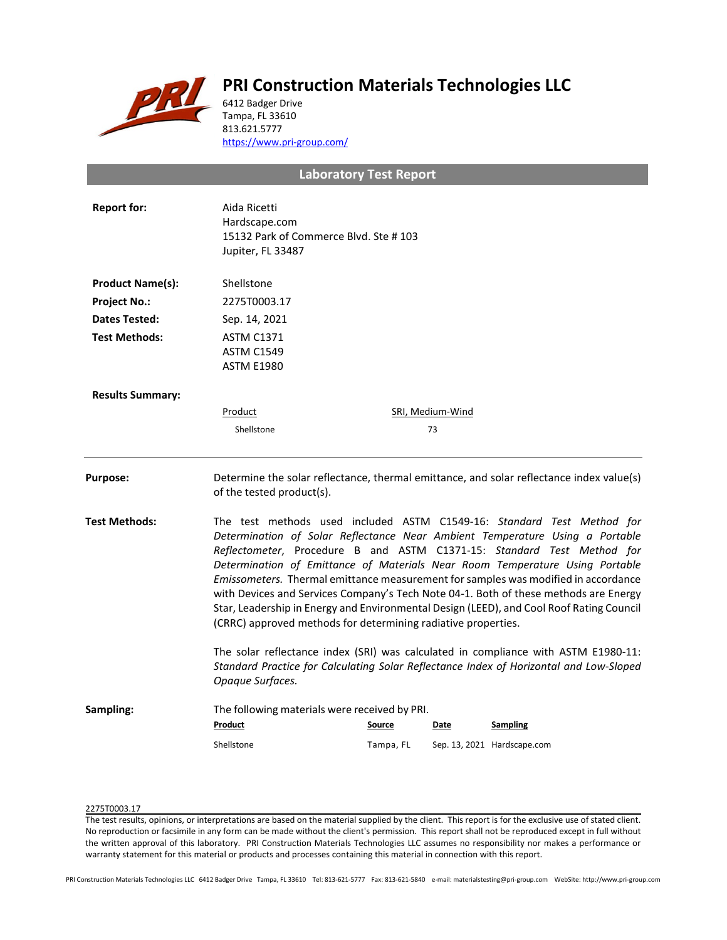

# **PRI Construction Materials Technologies LLC**

6412 Badger Drive Tampa, FL 33610 813.621.5777 <https://www.pri-group.com/>

# **Laboratory Test Report**

| <b>Report for:</b>      | Aida Ricetti<br>Hardscape.com<br>15132 Park of Commerce Blvd. Ste #103<br>Jupiter, FL 33487                                                                                                                                                                                                                                                                                                                                                                                                                                                                                                |               |                        |                                                                                          |  |
|-------------------------|--------------------------------------------------------------------------------------------------------------------------------------------------------------------------------------------------------------------------------------------------------------------------------------------------------------------------------------------------------------------------------------------------------------------------------------------------------------------------------------------------------------------------------------------------------------------------------------------|---------------|------------------------|------------------------------------------------------------------------------------------|--|
| <b>Product Name(s):</b> | Shellstone                                                                                                                                                                                                                                                                                                                                                                                                                                                                                                                                                                                 |               |                        |                                                                                          |  |
| <b>Project No.:</b>     | 2275T0003.17                                                                                                                                                                                                                                                                                                                                                                                                                                                                                                                                                                               |               |                        |                                                                                          |  |
| <b>Dates Tested:</b>    | Sep. 14, 2021                                                                                                                                                                                                                                                                                                                                                                                                                                                                                                                                                                              |               |                        |                                                                                          |  |
| <b>Test Methods:</b>    | <b>ASTM C1371</b><br><b>ASTM C1549</b><br><b>ASTM E1980</b>                                                                                                                                                                                                                                                                                                                                                                                                                                                                                                                                |               |                        |                                                                                          |  |
| <b>Results Summary:</b> |                                                                                                                                                                                                                                                                                                                                                                                                                                                                                                                                                                                            |               |                        |                                                                                          |  |
|                         | Product<br>Shellstone                                                                                                                                                                                                                                                                                                                                                                                                                                                                                                                                                                      |               | SRI, Medium-Wind<br>73 |                                                                                          |  |
| <b>Purpose:</b>         | of the tested product(s).                                                                                                                                                                                                                                                                                                                                                                                                                                                                                                                                                                  |               |                        | Determine the solar reflectance, thermal emittance, and solar reflectance index value(s) |  |
| Test Methods:           | The test methods used included ASTM C1549-16: Standard Test Method for<br>Determination of Solar Reflectance Near Ambient Temperature Using a Portable<br>Reflectometer, Procedure B and ASTM C1371-15: Standard Test Method for<br>Determination of Emittance of Materials Near Room Temperature Using Portable<br>Emissometers. Thermal emittance measurement for samples was modified in accordance<br>with Devices and Services Company's Tech Note 04-1. Both of these methods are Energy<br>Star, Leadership in Energy and Environmental Design (LEED), and Cool Roof Rating Council |               |                        |                                                                                          |  |
|                         | (CRRC) approved methods for determining radiative properties.<br>The solar reflectance index (SRI) was calculated in compliance with ASTM E1980-11:<br>Standard Practice for Calculating Solar Reflectance Index of Horizontal and Low-Sloped<br>Opaque Surfaces.                                                                                                                                                                                                                                                                                                                          |               |                        |                                                                                          |  |
| Sampling:               | The following materials were received by PRI.                                                                                                                                                                                                                                                                                                                                                                                                                                                                                                                                              |               |                        |                                                                                          |  |
|                         | Product                                                                                                                                                                                                                                                                                                                                                                                                                                                                                                                                                                                    | <b>Source</b> | Date                   | <b>Sampling</b>                                                                          |  |
|                         | Shellstone                                                                                                                                                                                                                                                                                                                                                                                                                                                                                                                                                                                 | Tampa, FL     |                        | Sep. 13, 2021 Hardscape.com                                                              |  |
|                         |                                                                                                                                                                                                                                                                                                                                                                                                                                                                                                                                                                                            |               |                        |                                                                                          |  |

### 2275T0003.17

The test results, opinions, or interpretations are based on the material supplied by the client. This report is for the exclusive use of stated client. No reproduction or facsimile in any form can be made without the client's permission. This report shall not be reproduced except in full without the written approval of this laboratory. PRI Construction Materials Technologies LLC assumes no responsibility nor makes a performance or warranty statement for this material or products and processes containing this material in connection with this report.

PRI Construction Materials Technologies LLC 6412 Badger Drive Tampa, FL 33610 Tel: 813-621-5777 Fax: 813-621-5840 e-mail: materialstesting@pri-group.com WebSite: http://www.pri-group.com